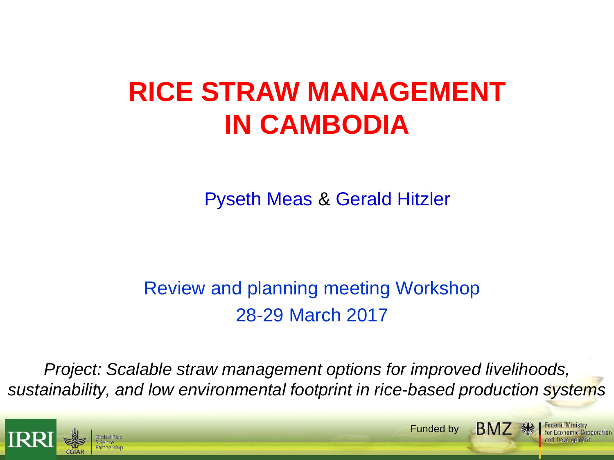# **RICE STRAW MANAGEMENT IN CAMBODIA**

Pyseth Meas & Gerald Hitzler

## Review and planning meeting Workshop 28-29 March 2017

*Project: Scalable straw management options for improved livelihoods, sustainability, and low environmental footprint in rice-based production systems*

Funded by

**BMZ** ·

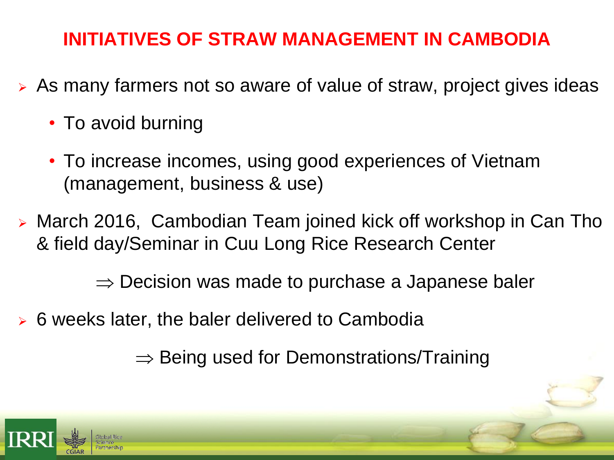## **INITIATIVES OF STRAW MANAGEMENT IN CAMBODIA**

- $\triangleright$  As many farmers not so aware of value of straw, project gives ideas
	- To avoid burning
	- To increase incomes, using good experiences of Vietnam (management, business & use)
- March 2016, Cambodian Team joined kick off workshop in Can Tho & field day/Seminar in Cuu Long Rice Research Center

 $\Rightarrow$  Decision was made to purchase a Japanese baler

6 weeks later, the baler delivered to Cambodia

 $\Rightarrow$  Being used for Demonstrations/Training

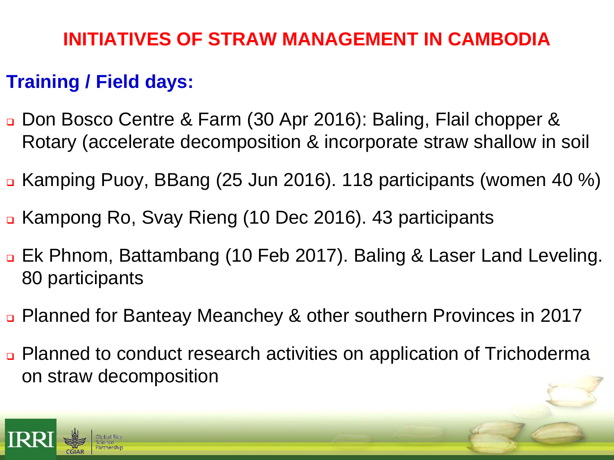## **INITIATIVES OF STRAW MANAGEMENT IN CAMBODIA**

#### **Training / Field days:**

- Don Bosco Centre & Farm (30 Apr 2016): Baling, Flail chopper & Rotary (accelerate decomposition & incorporate straw shallow in soil
- Kamping Puoy, BBang (25 Jun 2016). 118 participants (women 40 %)
- Kampong Ro, Svay Rieng (10 Dec 2016). 43 participants
- Ek Phnom, Battambang (10 Feb 2017). Baling & Laser Land Leveling. 80 participants
- Planned for Banteay Meanchey & other southern Provinces in 2017
- Planned to conduct research activities on application of Trichoderma on straw decomposition

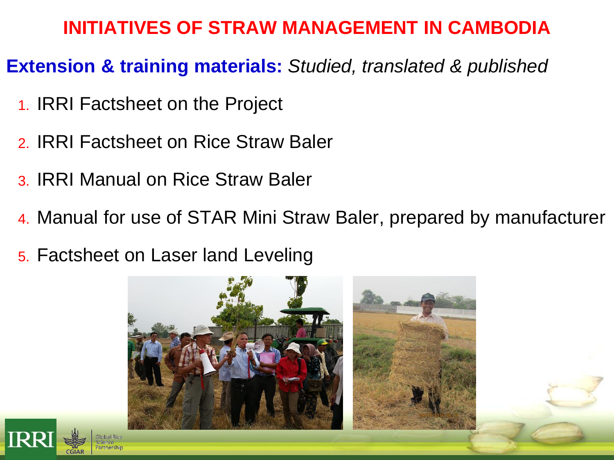## **INITIATIVES OF STRAW MANAGEMENT IN CAMBODIA**

#### **Extension & training materials:** *Studied, translated & published*

- 1. IRRI Factsheet on the Project
- 2. IRRI Factsheet on Rice Straw Baler
- 3. IRRI Manual on Rice Straw Baler
- 4. Manual for use of STAR Mini Straw Baler, prepared by manufacturer
- 5. Factsheet on Laser land Leveling